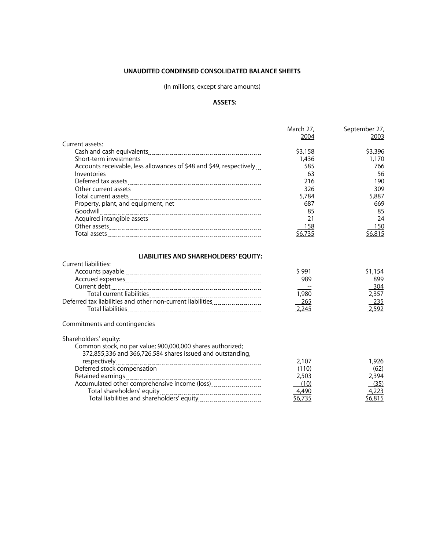## **UNAUDITED CONDENSED CONSOLIDATED BALANCE SHEETS**

# (In millions, except share amounts)

# **ASSETS:**

|                                                                                                                                                                           | March 27,                                | September 27,                                  |
|---------------------------------------------------------------------------------------------------------------------------------------------------------------------------|------------------------------------------|------------------------------------------------|
|                                                                                                                                                                           | 2004                                     | 2003                                           |
| Current assets:                                                                                                                                                           |                                          |                                                |
|                                                                                                                                                                           | \$3,158                                  | \$3,396                                        |
|                                                                                                                                                                           | 1,436                                    | 1,170                                          |
| Accounts receivable, less allowances of \$48 and \$49, respectively                                                                                                       | 585                                      | 766                                            |
|                                                                                                                                                                           | 63                                       | 56                                             |
|                                                                                                                                                                           | 216                                      | 190                                            |
|                                                                                                                                                                           | 326                                      | 309                                            |
|                                                                                                                                                                           | 5.784                                    | 5,887                                          |
|                                                                                                                                                                           | 687                                      | 669                                            |
|                                                                                                                                                                           | 85                                       | 85                                             |
|                                                                                                                                                                           | 21                                       | 24                                             |
|                                                                                                                                                                           | 158                                      | 150                                            |
|                                                                                                                                                                           | \$6,735                                  | \$6,815                                        |
| Current liabilities:<br>Current debt<br>Deferred tax liabilities and other non-current liabilities                                                                        | \$991<br>989<br>1,980<br>265<br>2,245    | \$1,154<br>899<br>304<br>2,357<br>235<br>2,592 |
| Commitments and contingencies                                                                                                                                             |                                          |                                                |
| Shareholders' equity:                                                                                                                                                     |                                          |                                                |
| Common stock, no par value; 900,000,000 shares authorized;<br>372,855,336 and 366,726,584 shares issued and outstanding,<br>Accumulated other comprehensive income (loss) | 2,107<br>(110)<br>2,503<br>(10)<br>4,490 | 1,926<br>(62)<br>2,394<br>(35)<br>4,223        |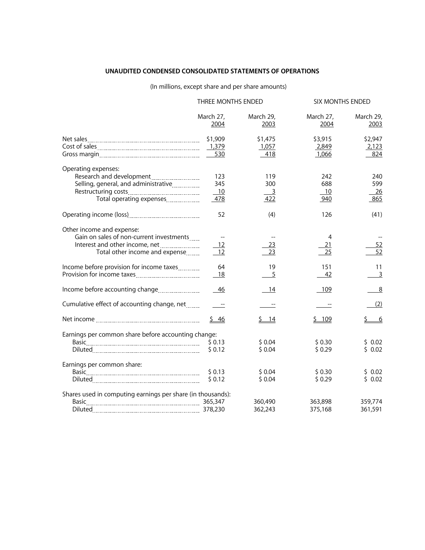## **UNAUDITED CONDENSED CONSOLIDATED STATEMENTS OF OPERATIONS**

# (In millions, except share and per share amounts)

|                                                                                                                                           | THREE MONTHS ENDED      |                                     | SIX MONTHS ENDED          |                                |  |
|-------------------------------------------------------------------------------------------------------------------------------------------|-------------------------|-------------------------------------|---------------------------|--------------------------------|--|
|                                                                                                                                           | March 27,<br>2004       | March 29,<br>2003                   | March 27,<br>2004         | March 29,<br>2003              |  |
|                                                                                                                                           | \$1,909<br>530          | \$1,475<br>1,057<br>418             | \$3,915<br>2,849<br>1,066 | \$2,947<br>2,123<br>824        |  |
| Operating expenses:<br>Research and development<br>Selling, general, and administrative<br>Total operating expenses                       | 123<br>345<br>10<br>478 | 119<br>300<br>$\overline{3}$<br>422 | 242<br>688<br>10<br>940   | 240<br>599<br><u>26</u><br>865 |  |
|                                                                                                                                           | 52                      | (4)                                 | 126                       | (41)                           |  |
| Other income and expense:<br>Gain on sales of non-current investments<br>Interest and other income, net<br>Total other income and expense | 12<br>- 12              | 23<br>23                            | 4<br>21<br>25             | <u>52</u><br>52                |  |
| Income before provision for income taxes<br>Provision for income taxes                                                                    | 64<br>18                | 19<br>5                             | 151<br>42                 | 11<br>$\overline{3}$           |  |
| Income before accounting change                                                                                                           | - 46                    | 14                                  | 109                       | 8                              |  |
| Cumulative effect of accounting change, net                                                                                               |                         |                                     |                           | (2)                            |  |
|                                                                                                                                           | $\frac{5}{9}$ 46        | \$14                                | \$109                     | <u>6</u>                       |  |
| Earnings per common share before accounting change:                                                                                       | \$0.12                  | \$0.04<br>\$0.04                    | \$0.30<br>\$0.29          | \$0.02<br>\$0.02               |  |
| Earnings per common share:                                                                                                                | \$0.13<br>\$0.12        | \$0.04<br>\$0.04                    | \$0.30<br>\$0.29          | \$0.02<br>\$0.02               |  |
| Shares used in computing earnings per share (in thousands):<br>Basic 265,347                                                              |                         | 360,490<br>362,243                  | 363,898<br>375,168        | 359,774<br>361,591             |  |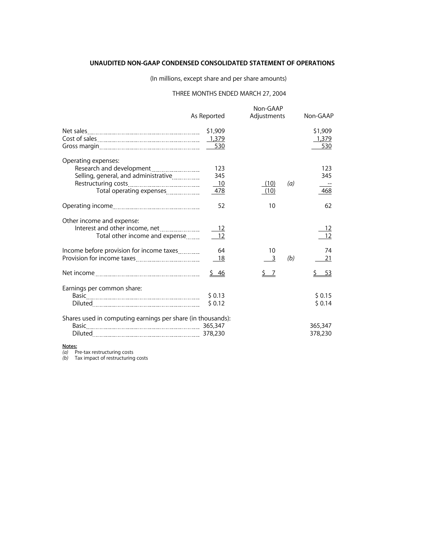### **UNAUDITED NON-GAAP CONDENSED CONSOLIDATED STATEMENT OF OPERATIONS**

(In millions, except share and per share amounts)

## THREE MONTHS ENDED MARCH 27, 2004

|                                                                                                                     | As Reported      |                            | Non-GAAP<br>Adjustments |     | Non-GAAP                |  |
|---------------------------------------------------------------------------------------------------------------------|------------------|----------------------------|-------------------------|-----|-------------------------|--|
|                                                                                                                     | \$1,909          |                            |                         |     | \$1,909<br>1,379<br>530 |  |
| Operating expenses:<br>Research and development<br>Selling, general, and administrative<br>Total operating expenses |                  | 123<br>345<br>$-10$<br>478 | (10)<br>(10)            | (a) | 123<br>345<br>468       |  |
|                                                                                                                     |                  | 52                         | 10                      |     | 62                      |  |
| Other income and expense:<br>Interest and other income, net<br>Total other income and expense                       |                  | - 12                       |                         |     | <u>_12</u><br>12        |  |
| Income before provision for income taxes                                                                            |                  | 64<br>18                   | 10<br>$\overline{3}$    | (b) | 74<br>21                |  |
|                                                                                                                     |                  | $\frac{5}{9}$ 46           | 7                       |     | -53                     |  |
| Earnings per common share:                                                                                          | \$0.13<br>\$0.12 |                            |                         |     | \$0.15<br>\$0.14        |  |
| Shares used in computing earnings per share (in thousands):<br>Basic 265,347                                        |                  |                            |                         |     | 365,347<br>378,230      |  |

**Notes:**

*(a)* Pre-tax restructuring costs

*(b)* Tax impact of restructuring costs